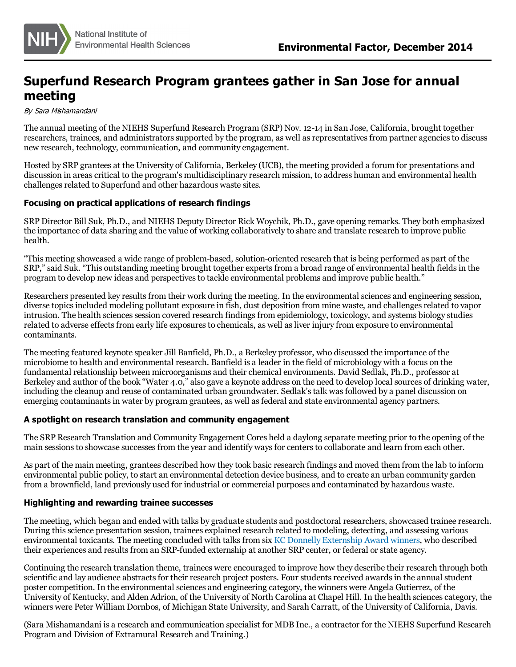

# **Superfund Research Program grantees gather in San Jose for annual meeting**

By Sara Mishamandani

The annual meeting of the NIEHS Superfund Research Program (SRP) Nov. 12-14 in San Jose, California, brought together researchers, trainees, and administrators supported by the program, as well as representatives from partner agencies to discuss new research, technology, communication, and community engagement.

Hosted by SRP grantees at the University of California, Berkeley (UCB), the meeting provided a forum for presentations and discussion in areas critical to the program's multidisciplinary research mission, to address human and environmental health challenges related to Superfund and other hazardous waste sites.

# **Focusing on practical applications of research findings**

SRP Director Bill Suk, Ph.D., and NIEHS Deputy Director Rick Woychik, Ph.D., gave opening remarks. They both emphasized the importance of data sharing and the value of working collaboratively to share and translate research to improve public health.

"This meeting showcased a wide range of problem-based, solution-oriented research that is being performed as part of the SRP," said Suk. "This outstanding meeting brought together experts from a broad range of environmental health fields in the program to develop new ideas and perspectives to tackle environmental problems and improve public health."

Researchers presented key results from their work during the meeting. In the environmental sciences and engineering session, diverse topics included modeling pollutant exposure in fish, dust deposition from mine waste, and challenges related to vapor intrusion. The health sciences session covered research findings from epidemiology, toxicology, and systems biology studies related to adverse effectsfrom early life exposuresto chemicals, as well asliver injury from exposure to environmental contaminants.

The meeting featured keynote speaker Jill Banfield, Ph.D., a Berkeley professor, who discussed the importance of the microbiome to health and environmental research. Banfield is a leader in the field of microbiology with a focus on the fundamental relationship between microorganisms and their chemical environments. David Sedlak, Ph.D., professor at Berkeley and author of the book "Water 4.0," also gave a keynote address on the need to develop local sources of drinking water, including the cleanup and reuse of contaminated urban groundwater. Sedlak's talk was followed by a panel discussion on emerging contaminants in water by program grantees, as well as federal and state environmental agency partners.

# **A spotlight on research translation and community engagement**

The SRP Research Translation and Community Engagement Cores held a daylong separate meeting prior to the opening of the main sessions to showcase successes from the year and identify ways for centers to collaborate and learn from each other.

As part of the main meeting, grantees described how they took basic research findings and moved them from the lab to inform environmental public policy, to start an environmental detection device business, and to create an urban community garden from a brownfield, land previously used for industrial orcommercial purposes and contaminated by hazardous waste.

# **Highlighting and rewarding trainee successes**

The meeting, which began and ended with talks by graduate students and postdoctoral researchers, showcased trainee research. During thisscience presentation session, trainees explained research related to modeling, detecting, and assessing various environmental toxicants. The meeting concluded with talks from six KC Donnelly [Externship](http://www.niehs.nih.gov/research/supported/dert/programs/srp/training/donnelly/2013winners/index.cfm) Award winners, who described their experiences and resultsfrom an SRP-funded externship at another SRP center, or federal or state agency.

Continuing the research translation theme, trainees were encouraged to improve how they describe their research through both scientific and lay audience abstracts for their research project posters. Four students received awards in the annual student poster competition. In the environmental sciences and engineering category, the winners were Angela Gutierrez, of the University of Kentucky, and Alden Adrion, of the University of North Carolina at Chapel Hill. In the health sciencescategory, the winners were Peter William Dornbos, of Michigan State University, and Sarah Carratt, of the University of California, Davis.

(Sara Mishamandani is a research and communication specialist for MDB Inc., a contractor for the NIEHS Superfund Research Program and Division of Extramural Research and Training.)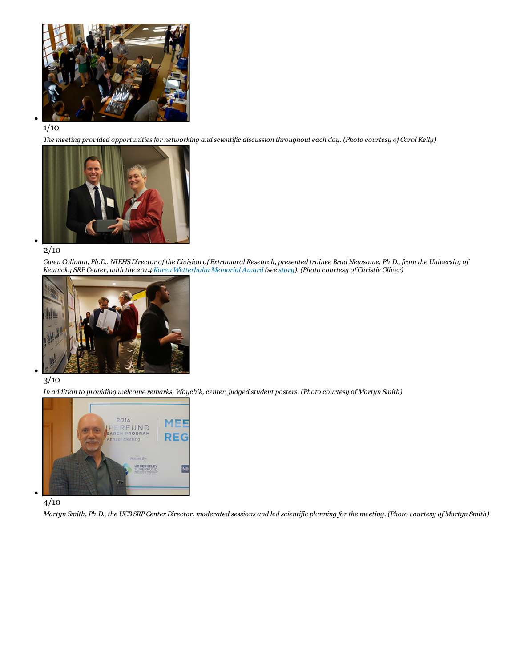

### 1/10

The meeting provided opportunities for networking and scientific discussion throughout each day. (Photo courtesy of Carol Kelly)



### 2/10

Gwen Collman, Ph.D., NIEHS Director of the Division of Extramural Research, presented trainee Brad Newsome, Ph.D., from the University of Kentucky SRP Center, with the 2014 Karen [Wetterhahn](http://www.niehs.nih.gov/research/supported/dert/programs/srp/training/wetterhahn/index.cfm) Memorial Award (see [story](http://www.niehs.nih.gov/news/newsletter/2014/12/spotlight-wetterhahn/index.htm)). (Photo courtesy of Christie Oliver)



# 3/10

In addition to providing welcome remarks, Woychik, center, judged student posters. (Photo courtesy of Martyn Smith)



# $4/10$

Martyn Smith, Ph.D., the UCB SRP Center Director, moderated sessions and led scientific planning for the meeting. (Photo courtesy of Martyn Smith)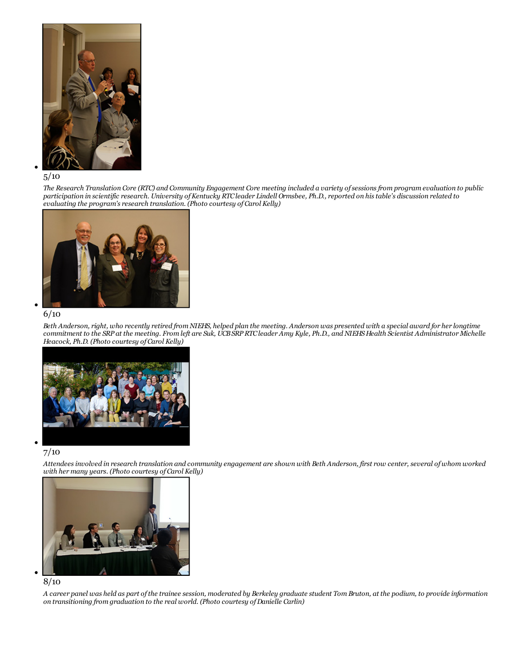

### 5/10

The Research Translation Core (RTC) and Community Engagement Core meeting included a variety of sessions from program evaluation to public participation in scientific research. University of Kentucky RTC leader Lindell Ormsbee, Ph.D., reported on his table's discussion related to *evaluating the program's research translation. (Photo courtesy of Carol Kelly)*



#### 6/10

Beth Anderson, right, who recently retired from NIEHS, helped plan the meeting. Anderson was presented with a special award for her longtime commitment to the SRP at the meeting. From left are Suk, UCB SRP RTC leader Amy Kyle, Ph.D., and NIEHS Health Scientist Administrator Michelle *Heacock, Ph.D. (Photo courtesy of Carol Kelly)*



# 7/10

Attendees involved in research translation and community engagement are shown with Beth Anderson, first row center, several of whom worked *with her many years. (Photo courtesy of Carol Kelly)*



#### 8/10

A career panel was held as part of the trainee session, moderated by Berkeley graduate student Tom Bruton, at the podium, to provide information *on transitioning from graduation to the real world. (Photo courtesy ofDanielle Carlin)*